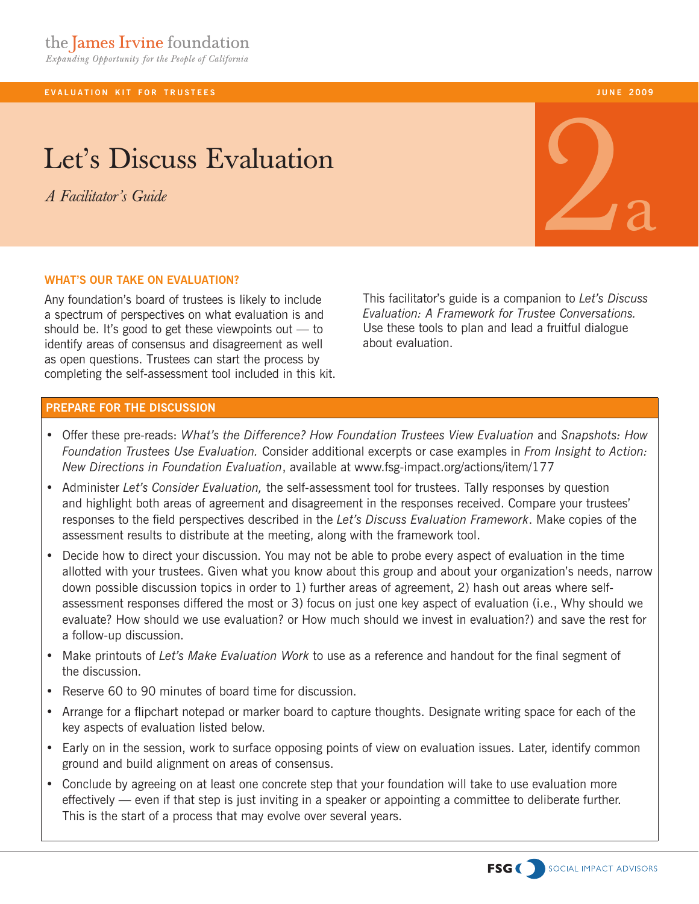**EVALUATION KIT FOR TRUSTEES** 

# Let's Discuss Evaluation

*A Facilitator's Guide*

### **what's our take on evaluation?**

Any foundation's board of trustees is likely to include a spectrum of perspectives on what evaluation is and should be. It's good to get these viewpoints out  $-$  to identify areas of consensus and disagreement as well as open questions. Trustees can start the process by completing the self-assessment tool included in this kit. This facilitator's guide is a companion to *Let's Discuss Evaluation: A Framework for Trustee Conversations.*  Use these tools to plan and lead a fruitful dialogue about evaluation.

## **PREPARE FOR THE DISCUSSION**

- • Offer these pre-reads: *What's the Difference? How Foundation Trustees View Evaluation* and *Snapshots: How Foundation Trustees Use Evaluation.* Consider additional excerpts or case examples in *From Insight to Action: New Directions in Foundation Evaluation*, available at www.fsg-impact.org/actions/item/177
- • Administer *Let's Consider Evaluation,* the self-assessment tool for trustees. Tally responses by question and highlight both areas of agreement and disagreement in the responses received. Compare your trustees' responses to the field perspectives described in the *Let's Discuss Evaluation Framework*. Make copies of the assessment results to distribute at the meeting, along with the framework tool.
- Decide how to direct your discussion. You may not be able to probe every aspect of evaluation in the time allotted with your trustees. Given what you know about this group and about your organization's needs, narrow down possible discussion topics in order to 1) further areas of agreement, 2) hash out areas where selfassessment responses differed the most or 3) focus on just one key aspect of evaluation (i.e., Why should we evaluate? How should we use evaluation? or How much should we invest in evaluation?) and save the rest for a follow-up discussion.
- • Make printouts of *Let's Make Evaluation Work* to use as a reference and handout for the final segment of the discussion.
- Reserve 60 to 90 minutes of board time for discussion.
- • Arrange for a flipchart notepad or marker board to capture thoughts. Designate writing space for each of the key aspects of evaluation listed below.
- Early on in the session, work to surface opposing points of view on evaluation issues. Later, identify common ground and build alignment on areas of consensus.
- Conclude by agreeing on at least one concrete step that your foundation will take to use evaluation more effectively — even if that step is just inviting in a speaker or appointing a committee to deliberate further. This is the start of a process that may evolve over several years.



**j u n e 2009**